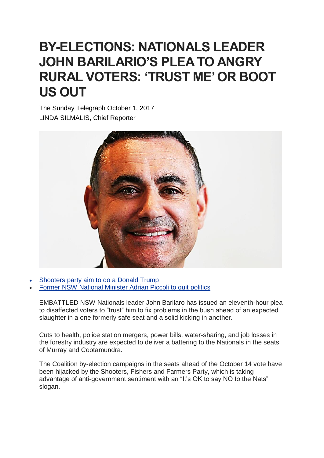## **BY-ELECTIONS: NATIONALS LEADER JOHN BARILARIO'S PLEA TO ANGRY RURAL VOTERS: 'TRUST ME' OR BOOT US OUT**

The Sunday Telegraph October 1, 2017 LINDA SILMALIS, Chief Reporter



- [Shooters](http://www.dailytelegraph.com.au/news/nsw/shooters-partys-trumpstyle-approach-nationals-seen-as-citycentric-as-shooters-aim-to-do-a-trump/news-story/a58a982b3d55743935efbfda567cdd6d) party aim to do a Donald Trump
- Former NSW [National](http://www.dailytelegraph.com.au/news/nsw/former-nsw-liberal-minister-adrian-piccoli-to-quit-politics/news-story/0ac2ca7851f5d1673bea07bd1ae09442) Minister Adrian Piccoli to quit politics

EMBATTLED NSW Nationals leader John Barilaro has issued an eleventh-hour plea to disaffected voters to "trust" him to fix problems in the bush ahead of an expected slaughter in a one formerly safe seat and a solid kicking in another.

Cuts to health, police station mergers, power bills, water-sharing, and job losses in the forestry industry are expected to deliver a battering to the Nationals in the seats of Murray and Cootamundra.

The Coalition by-election campaigns in the seats ahead of the October 14 vote have been hijacked by the Shooters, Fishers and Farmers Party, which is taking advantage of anti-government sentiment with an "It's OK to say NO to the Nats" slogan.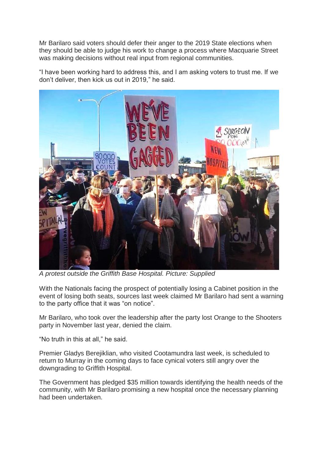Mr Barilaro said voters should defer their anger to the 2019 State elections when they should be able to judge his work to change a process where Macquarie Street was making decisions without real input from regional communities.

"I have been working hard to address this, and I am asking voters to trust me. If we don't deliver, then kick us out in 2019," he said.



*A protest outside the Griffith Base Hospital. Picture: Supplied*

With the Nationals facing the prospect of potentially losing a Cabinet position in the event of losing both seats, sources last week claimed Mr Barilaro had sent a warning to the party office that it was "on notice".

Mr Barilaro, who took over the leadership after the party lost Orange to the Shooters party in November last year, denied the claim.

"No truth in this at all," he said.

Premier Gladys Berejiklian, who visited Cootamundra last week, is scheduled to return to Murray in the coming days to face cynical voters still angry over the downgrading to Griffith Hospital.

The Government has pledged \$35 million towards identifying the health needs of the community, with Mr Barilaro promising a new hospital once the necessary planning had been undertaken.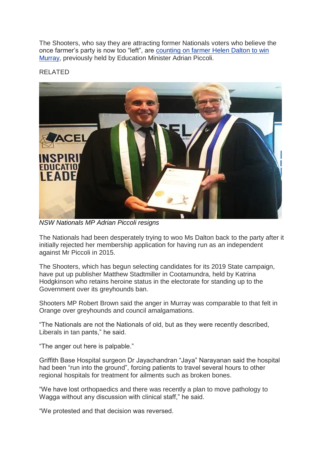The Shooters, who say they are attracting former Nationals voters who believe the once farmer's party is now too "left", are [counting](http://www.dailytelegraph.com.au/news/nsw/helen-dalton-new-shooters-candidate-for-murray/news-story/07910fd620a61528d1db9329468247e6) on farmer Helen Dalton to win [Murray,](http://www.dailytelegraph.com.au/news/nsw/helen-dalton-new-shooters-candidate-for-murray/news-story/07910fd620a61528d1db9329468247e6) previously held by Education Minister Adrian Piccoli.

RELATED



*NSW Nationals MP Adrian Piccoli resigns*

The Nationals had been desperately trying to woo Ms Dalton back to the party after it initially rejected her membership application for having run as an independent against Mr Piccoli in 2015.

The Shooters, which has begun selecting candidates for its 2019 State campaign, have put up publisher Matthew Stadtmiller in Cootamundra, held by Katrina Hodgkinson who retains heroine status in the electorate for standing up to the Government over its greyhounds ban.

Shooters MP Robert Brown said the anger in Murray was comparable to that felt in Orange over greyhounds and council amalgamations.

"The Nationals are not the Nationals of old, but as they were recently described, Liberals in tan pants," he said.

"The anger out here is palpable."

Griffith Base Hospital surgeon Dr Jayachandran "Jaya" Narayanan said the hospital had been "run into the ground", forcing patients to travel several hours to other regional hospitals for treatment for ailments such as broken bones.

"We have lost orthopaedics and there was recently a plan to move pathology to Wagga without any discussion with clinical staff," he said.

"We protested and that decision was reversed.